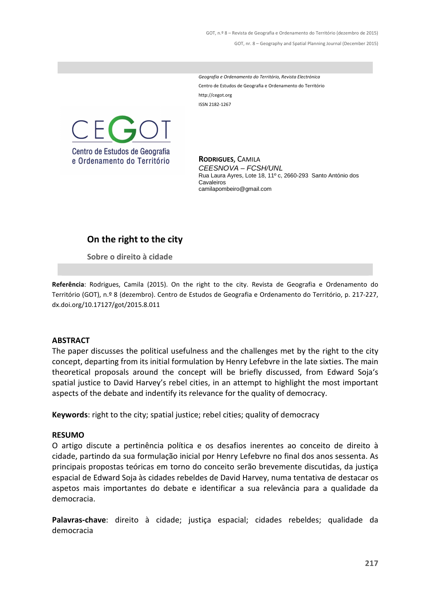GOT, n.º 8 – Revista de Geografia e Ordenamento do Território (dezembro de 2015) GOT, nr. 8 – Geography and Spatial Planning Journal (December 2015)

*Geografia e Ordenamento do Território, Revista Electrónica* Centro de Estudos de Geografia e Ordenamento do Território http://cegot.org ISSN: 2182-1267



**RODRIGUES**, CAMILA CEESNOVA – FCSH/UNL Rua Laura Ayres, Lote 18, 11º c, 2660-293 Santo António dos Cavaleiros camilapombeiro@gmail.com

## **On the right to the city**

**Sobre o direito à cidade**

**Referência**: Rodrigues, Camila (2015). On the right to the city. Revista de Geografia e Ordenamento do Território (GOT), n.º 8 (dezembro). Centro de Estudos de Geografia e Ordenamento do Território, p. 217-227, dx.doi.org/10.17127/got/2015.8.011

#### **ABSTRACT**

The paper discusses the political usefulness and the challenges met by the right to the city concept, departing from its initial formulation by Henry Lefebvre in the late sixties. The main theoretical proposals around the concept will be briefly discussed, from Edward Soja's spatial justice to David Harvey's rebel cities, in an attempt to highlight the most important aspects of the debate and indentify its relevance for the quality of democracy.

**Keywords**: right to the city; spatial justice; rebel cities; quality of democracy

#### **RESUMO**

O artigo discute a pertinência política e os desafios inerentes ao conceito de direito à cidade, partindo da sua formulação inicial por Henry Lefebvre no final dos anos sessenta. As principais propostas teóricas em torno do conceito serão brevemente discutidas, da justiça espacial de Edward Soja às cidades rebeldes de David Harvey, numa tentativa de destacar os aspetos mais importantes do debate e identificar a sua relevância para a qualidade da democracia.

**Palavras-chave**: direito à cidade; justiça espacial; cidades rebeldes; qualidade da democracia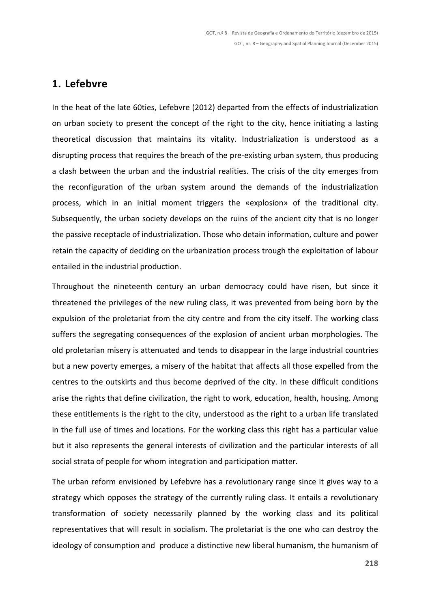### **1. Lefebvre**

In the heat of the late 60ties, Lefebvre (2012) departed from the effects of industrialization on urban society to present the concept of the right to the city, hence initiating a lasting theoretical discussion that maintains its vitality. Industrialization is understood as a disrupting process that requires the breach of the pre-existing urban system, thus producing a clash between the urban and the industrial realities. The crisis of the city emerges from the reconfiguration of the urban system around the demands of the industrialization process, which in an initial moment triggers the «explosion» of the traditional city. Subsequently, the urban society develops on the ruins of the ancient city that is no longer the passive receptacle of industrialization. Those who detain information, culture and power retain the capacity of deciding on the urbanization process trough the exploitation of labour entailed in the industrial production.

Throughout the nineteenth century an urban democracy could have risen, but since it threatened the privileges of the new ruling class, it was prevented from being born by the expulsion of the proletariat from the city centre and from the city itself. The working class suffers the segregating consequences of the explosion of ancient urban morphologies. The old proletarian misery is attenuated and tends to disappear in the large industrial countries but a new poverty emerges, a misery of the habitat that affects all those expelled from the centres to the outskirts and thus become deprived of the city. In these difficult conditions arise the rights that define civilization, the right to work, education, health, housing. Among these entitlements is the right to the city, understood as the right to a urban life translated in the full use of times and locations. For the working class this right has a particular value but it also represents the general interests of civilization and the particular interests of all social strata of people for whom integration and participation matter.

The urban reform envisioned by Lefebvre has a revolutionary range since it gives way to a strategy which opposes the strategy of the currently ruling class. It entails a revolutionary transformation of society necessarily planned by the working class and its political representatives that will result in socialism. The proletariat is the one who can destroy the ideology of consumption and produce a distinctive new liberal humanism, the humanism of

**218**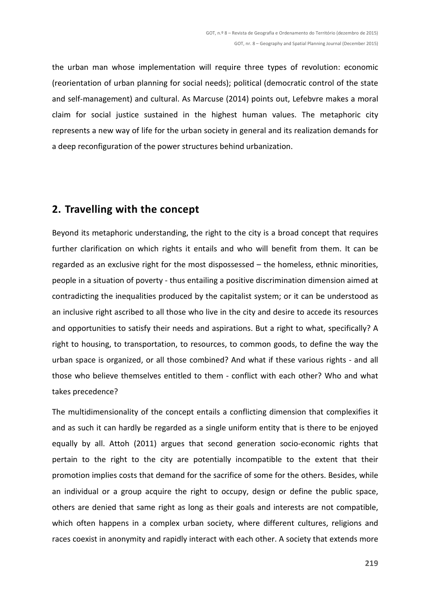the urban man whose implementation will require three types of revolution: economic (reorientation of urban planning for social needs); political (democratic control of the state and self-management) and cultural. As Marcuse (2014) points out, Lefebvre makes a moral claim for social justice sustained in the highest human values. The metaphoric city represents a new way of life for the urban society in general and its realization demands for a deep reconfiguration of the power structures behind urbanization.

## **2. Travelling with the concept**

Beyond its metaphoric understanding, the right to the city is a broad concept that requires further clarification on which rights it entails and who will benefit from them. It can be regarded as an exclusive right for the most dispossessed – the homeless, ethnic minorities, people in a situation of poverty - thus entailing a positive discrimination dimension aimed at contradicting the inequalities produced by the capitalist system; or it can be understood as an inclusive right ascribed to all those who live in the city and desire to accede its resources and opportunities to satisfy their needs and aspirations. But a right to what, specifically? A right to housing, to transportation, to resources, to common goods, to define the way the urban space is organized, or all those combined? And what if these various rights - and all those who believe themselves entitled to them - conflict with each other? Who and what takes precedence?

The multidimensionality of the concept entails a conflicting dimension that complexifies it and as such it can hardly be regarded as a single uniform entity that is there to be enjoyed equally by all. Attoh (2011) argues that second generation socio-economic rights that pertain to the right to the city are potentially incompatible to the extent that their promotion implies costs that demand for the sacrifice of some for the others. Besides, while an individual or a group acquire the right to occupy, design or define the public space, others are denied that same right as long as their goals and interests are not compatible, which often happens in a complex urban society, where different cultures, religions and races coexist in anonymity and rapidly interact with each other. A society that extends more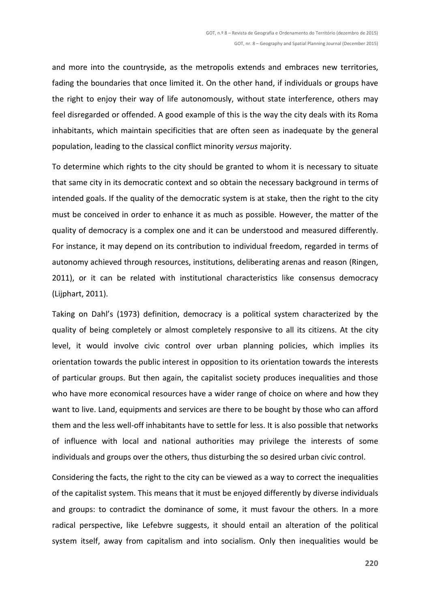and more into the countryside, as the metropolis extends and embraces new territories, fading the boundaries that once limited it. On the other hand, if individuals or groups have the right to enjoy their way of life autonomously, without state interference, others may feel disregarded or offended. A good example of this is the way the city deals with its Roma inhabitants, which maintain specificities that are often seen as inadequate by the general population, leading to the classical conflict minority *versus* majority.

To determine which rights to the city should be granted to whom it is necessary to situate that same city in its democratic context and so obtain the necessary background in terms of intended goals. If the quality of the democratic system is at stake, then the right to the city must be conceived in order to enhance it as much as possible. However, the matter of the quality of democracy is a complex one and it can be understood and measured differently. For instance, it may depend on its contribution to individual freedom, regarded in terms of autonomy achieved through resources, institutions, deliberating arenas and reason (Ringen, 2011), or it can be related with institutional characteristics like consensus democracy (Lijphart, 2011).

Taking on Dahl's (1973) definition, democracy is a political system characterized by the quality of being completely or almost completely responsive to all its citizens. At the city level, it would involve civic control over urban planning policies, which implies its orientation towards the public interest in opposition to its orientation towards the interests of particular groups. But then again, the capitalist society produces inequalities and those who have more economical resources have a wider range of choice on where and how they want to live. Land, equipments and services are there to be bought by those who can afford them and the less well-off inhabitants have to settle for less. It is also possible that networks of influence with local and national authorities may privilege the interests of some individuals and groups over the others, thus disturbing the so desired urban civic control.

Considering the facts, the right to the city can be viewed as a way to correct the inequalities of the capitalist system. This means that it must be enjoyed differently by diverse individuals and groups: to contradict the dominance of some, it must favour the others. In a more radical perspective, like Lefebvre suggests, it should entail an alteration of the political system itself, away from capitalism and into socialism. Only then inequalities would be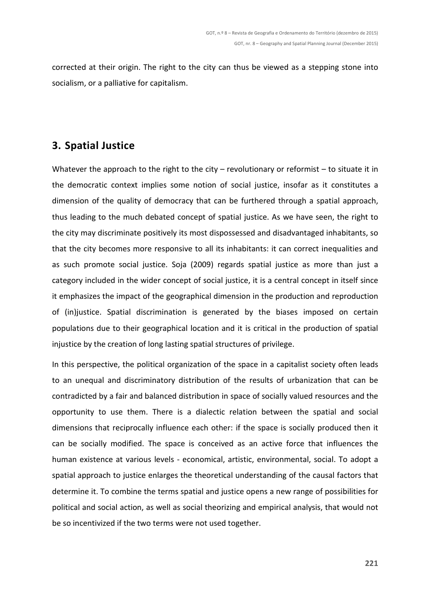corrected at their origin. The right to the city can thus be viewed as a stepping stone into socialism, or a palliative for capitalism.

# **3. Spatial Justice**

Whatever the approach to the right to the city – revolutionary or reformist – to situate it in the democratic context implies some notion of social justice, insofar as it constitutes a dimension of the quality of democracy that can be furthered through a spatial approach, thus leading to the much debated concept of spatial justice. As we have seen, the right to the city may discriminate positively its most dispossessed and disadvantaged inhabitants, so that the city becomes more responsive to all its inhabitants: it can correct inequalities and as such promote social justice. Soja (2009) regards spatial justice as more than just a category included in the wider concept of social justice, it is a central concept in itself since it emphasizes the impact of the geographical dimension in the production and reproduction of (in)justice. Spatial discrimination is generated by the biases imposed on certain populations due to their geographical location and it is critical in the production of spatial injustice by the creation of long lasting spatial structures of privilege.

In this perspective, the political organization of the space in a capitalist society often leads to an unequal and discriminatory distribution of the results of urbanization that can be contradicted by a fair and balanced distribution in space of socially valued resources and the opportunity to use them. There is a dialectic relation between the spatial and social dimensions that reciprocally influence each other: if the space is socially produced then it can be socially modified. The space is conceived as an active force that influences the human existence at various levels - economical, artistic, environmental, social. To adopt a spatial approach to justice enlarges the theoretical understanding of the causal factors that determine it. To combine the terms spatial and justice opens a new range of possibilities for political and social action, as well as social theorizing and empirical analysis, that would not be so incentivized if the two terms were not used together.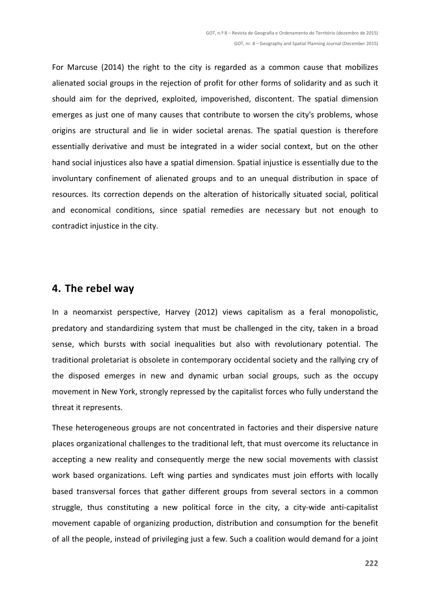For Marcuse (2014) the right to the city is regarded as a common cause that mobilizes alienated social groups in the rejection of profit for other forms of solidarity and as such it should aim for the deprived, exploited, impoverished, discontent. The spatial dimension emerges as just one of many causes that contribute to worsen the city's problems, whose origins are structural and lie in wider societal arenas. The spatial question is therefore essentially derivative and must be integrated in a wider social context, but on the other hand social injustices also have a spatial dimension. Spatial injustice is essentially due to the involuntary confinement of alienated groups and to an unequal distribution in space of resources. Its correction depends on the alteration of historically situated social, political and economical conditions, since spatial remedies are necessary but not enough to contradict injustice in the city.

### **4. The rebel way**

In a neomarxist perspective, Harvey (2012) views capitalism as a feral monopolistic, predatory and standardizing system that must be challenged in the city, taken in a broad sense, which bursts with social inequalities but also with revolutionary potential. The traditional proletariat is obsolete in contemporary occidental society and the rallying cry of the disposed emerges in new and dynamic urban social groups, such as the occupy movement in New York, strongly repressed by the capitalist forces who fully understand the threat it represents.

These heterogeneous groups are not concentrated in factories and their dispersive nature places organizational challenges to the traditional left, that must overcome its reluctance in accepting a new reality and consequently merge the new social movements with classist work based organizations. Left wing parties and syndicates must join efforts with locally based transversal forces that gather different groups from several sectors in a common struggle, thus constituting a new political force in the city, a city-wide anti-capitalist movement capable of organizing production, distribution and consumption for the benefit of all the people, instead of privileging just a few. Such a coalition would demand for a joint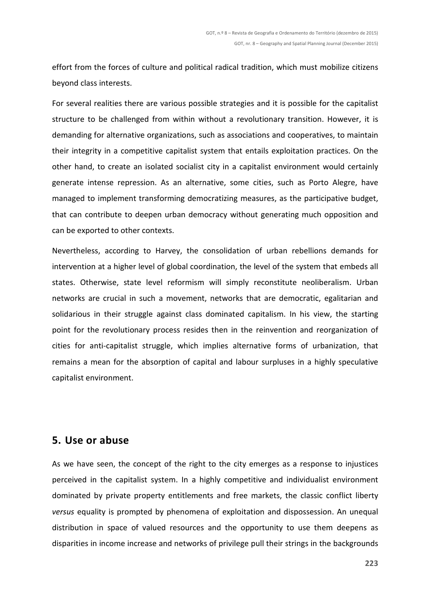effort from the forces of culture and political radical tradition, which must mobilize citizens beyond class interests.

For several realities there are various possible strategies and it is possible for the capitalist structure to be challenged from within without a revolutionary transition. However, it is demanding for alternative organizations, such as associations and cooperatives, to maintain their integrity in a competitive capitalist system that entails exploitation practices. On the other hand, to create an isolated socialist city in a capitalist environment would certainly generate intense repression. As an alternative, some cities, such as Porto Alegre, have managed to implement transforming democratizing measures, as the participative budget, that can contribute to deepen urban democracy without generating much opposition and can be exported to other contexts.

Nevertheless, according to Harvey, the consolidation of urban rebellions demands for intervention at a higher level of global coordination, the level of the system that embeds all states. Otherwise, state level reformism will simply reconstitute neoliberalism. Urban networks are crucial in such a movement, networks that are democratic, egalitarian and solidarious in their struggle against class dominated capitalism. In his view, the starting point for the revolutionary process resides then in the reinvention and reorganization of cities for anti-capitalist struggle, which implies alternative forms of urbanization, that remains a mean for the absorption of capital and labour surpluses in a highly speculative capitalist environment.

### **5. Use or abuse**

As we have seen, the concept of the right to the city emerges as a response to injustices perceived in the capitalist system. In a highly competitive and individualist environment dominated by private property entitlements and free markets, the classic conflict liberty *versus* equality is prompted by phenomena of exploitation and dispossession. An unequal distribution in space of valued resources and the opportunity to use them deepens as disparities in income increase and networks of privilege pull their strings in the backgrounds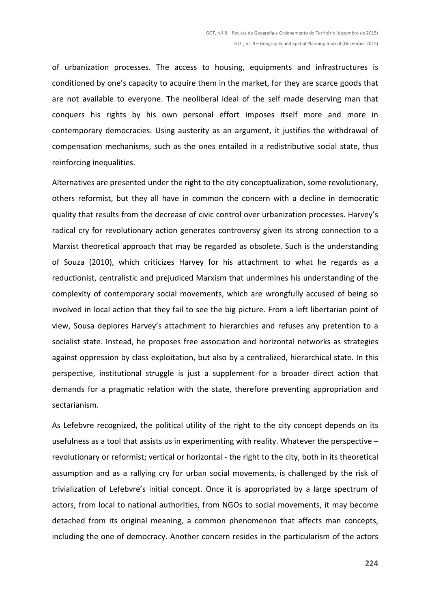of urbanization processes. The access to housing, equipments and infrastructures is conditioned by one's capacity to acquire them in the market, for they are scarce goods that are not available to everyone. The neoliberal ideal of the self made deserving man that conquers his rights by his own personal effort imposes itself more and more in contemporary democracies. Using austerity as an argument, it justifies the withdrawal of compensation mechanisms, such as the ones entailed in a redistributive social state, thus reinforcing inequalities.

Alternatives are presented under the right to the city conceptualization, some revolutionary, others reformist, but they all have in common the concern with a decline in democratic quality that results from the decrease of civic control over urbanization processes. Harvey's radical cry for revolutionary action generates controversy given its strong connection to a Marxist theoretical approach that may be regarded as obsolete. Such is the understanding of Souza (2010), which criticizes Harvey for his attachment to what he regards as a reductionist, centralistic and prejudiced Marxism that undermines his understanding of the complexity of contemporary social movements, which are wrongfully accused of being so involved in local action that they fail to see the big picture. From a left libertarian point of view, Sousa deplores Harvey's attachment to hierarchies and refuses any pretention to a socialist state. Instead, he proposes free association and horizontal networks as strategies against oppression by class exploitation, but also by a centralized, hierarchical state. In this perspective, institutional struggle is just a supplement for a broader direct action that demands for a pragmatic relation with the state, therefore preventing appropriation and sectarianism.

As Lefebvre recognized, the political utility of the right to the city concept depends on its usefulness as a tool that assists us in experimenting with reality. Whatever the perspective – revolutionary or reformist; vertical or horizontal - the right to the city, both in its theoretical assumption and as a rallying cry for urban social movements, is challenged by the risk of trivialization of Lefebvre's initial concept. Once it is appropriated by a large spectrum of actors, from local to national authorities, from NGOs to social movements, it may become detached from its original meaning, a common phenomenon that affects man concepts, including the one of democracy. Another concern resides in the particularism of the actors

**224**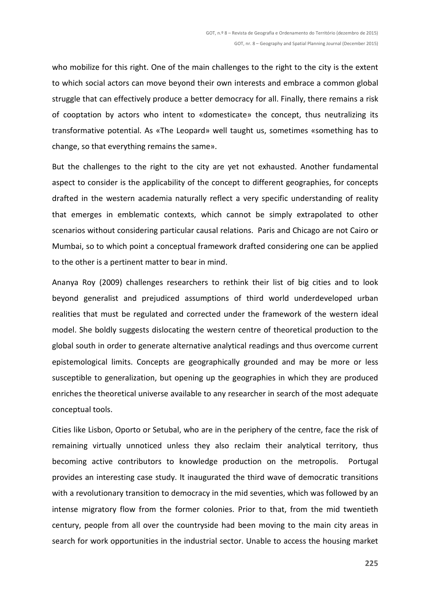who mobilize for this right. One of the main challenges to the right to the city is the extent to which social actors can move beyond their own interests and embrace a common global struggle that can effectively produce a better democracy for all. Finally, there remains a risk of cooptation by actors who intent to «domesticate» the concept, thus neutralizing its transformative potential. As «The Leopard» well taught us, sometimes «something has to change, so that everything remains the same».

But the challenges to the right to the city are yet not exhausted. Another fundamental aspect to consider is the applicability of the concept to different geographies, for concepts drafted in the western academia naturally reflect a very specific understanding of reality that emerges in emblematic contexts, which cannot be simply extrapolated to other scenarios without considering particular causal relations. Paris and Chicago are not Cairo or Mumbai, so to which point a conceptual framework drafted considering one can be applied to the other is a pertinent matter to bear in mind.

Ananya Roy (2009) challenges researchers to rethink their list of big cities and to look beyond generalist and prejudiced assumptions of third world underdeveloped urban realities that must be regulated and corrected under the framework of the western ideal model. She boldly suggests dislocating the western centre of theoretical production to the global south in order to generate alternative analytical readings and thus overcome current epistemological limits. Concepts are geographically grounded and may be more or less susceptible to generalization, but opening up the geographies in which they are produced enriches the theoretical universe available to any researcher in search of the most adequate conceptual tools.

Cities like Lisbon, Oporto or Setubal, who are in the periphery of the centre, face the risk of remaining virtually unnoticed unless they also reclaim their analytical territory, thus becoming active contributors to knowledge production on the metropolis. Portugal provides an interesting case study. It inaugurated the third wave of democratic transitions with a revolutionary transition to democracy in the mid seventies, which was followed by an intense migratory flow from the former colonies. Prior to that, from the mid twentieth century, people from all over the countryside had been moving to the main city areas in search for work opportunities in the industrial sector. Unable to access the housing market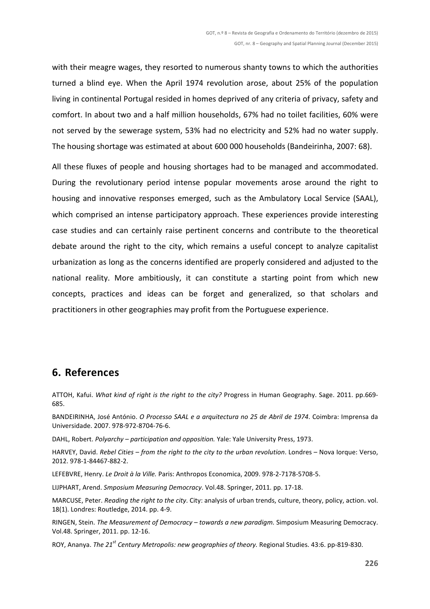with their meagre wages, they resorted to numerous shanty towns to which the authorities turned a blind eye. When the April 1974 revolution arose, about 25% of the population living in continental Portugal resided in homes deprived of any criteria of privacy, safety and comfort. In about two and a half million households, 67% had no toilet facilities, 60% were not served by the sewerage system, 53% had no electricity and 52% had no water supply. The housing shortage was estimated at about 600 000 households (Bandeirinha, 2007: 68).

All these fluxes of people and housing shortages had to be managed and accommodated. During the revolutionary period intense popular movements arose around the right to housing and innovative responses emerged, such as the Ambulatory Local Service (SAAL), which comprised an intense participatory approach. These experiences provide interesting case studies and can certainly raise pertinent concerns and contribute to the theoretical debate around the right to the city, which remains a useful concept to analyze capitalist urbanization as long as the concerns identified are properly considered and adjusted to the national reality. More ambitiously, it can constitute a starting point from which new concepts, practices and ideas can be forget and generalized, so that scholars and practitioners in other geographies may profit from the Portuguese experience.

## **6. References**

ATTOH, Kafui. *What kind of right is the right to the city?* Progress in Human Geography. Sage. 2011. pp.669- 685.

BANDEIRINHA, José António. *O Processo SAAL e a arquitectura no 25 de Abril de 1974*. Coimbra: Imprensa da Universidade. 2007. 978-972-8704-76-6.

DAHL, Robert. *Polyarchy – participation and opposition.* Yale: Yale University Press, 1973.

HARVEY, David. *Rebel Cities – from the right to the city to the urban revolution*. Londres – Nova Iorque: Verso, 2012. 978-1-84467-882-2.

LEFEBVRE, Henry. *Le Droit à la Ville.* Paris: Anthropos Economica, 2009. 978-2-7178-5708-5.

LIJPHART, Arend. *Smposium Measuring Democracy*. Vol.48. Springer, 2011. pp. 17-18.

MARCUSE, Peter. *Reading the right to the city*. City: analysis of urban trends, culture, theory, policy, action. vol. 18(1). Londres: Routledge, 2014. pp. 4-9.

RINGEN, Stein. *The Measurement of Democracy – towards a new paradigm.* Simposium Measuring Democracy. Vol.48. Springer, 2011. pp. 12-16.

ROY, Ananya. *The 21st Century Metropolis: new geographies of theory.* Regional Studies. 43:6. pp-819-830.